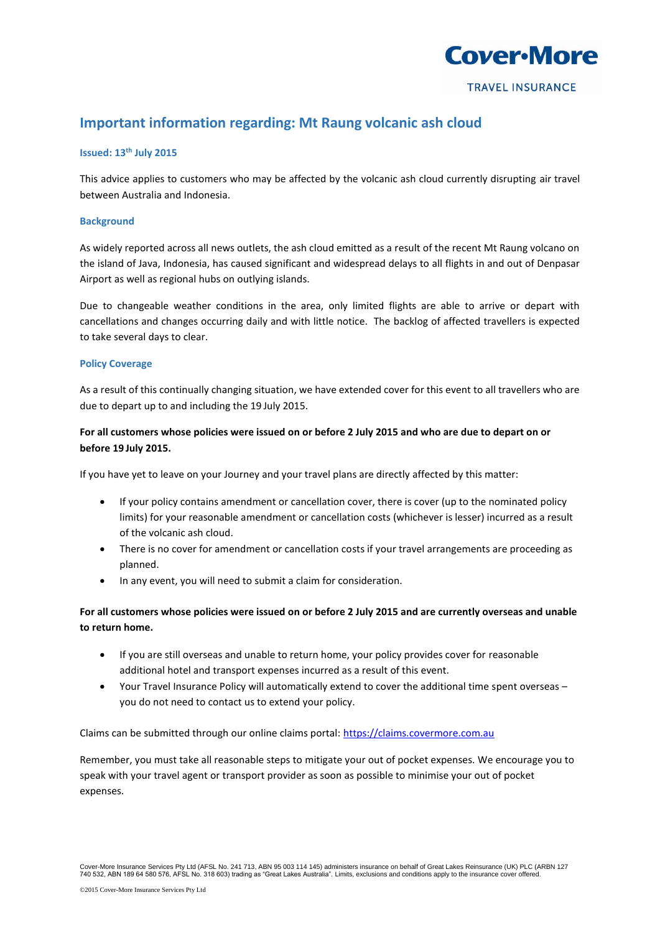

# **Important information regarding: Mt Raung volcanic ash cloud**

### **Issued: 13th July 2015**

This advice applies to customers who may be affected by the volcanic ash cloud currently disrupting air travel between Australia and Indonesia.

### **Background**

As widely reported across all news outlets, the ash cloud emitted as a result of the recent Mt Raung volcano on the island of Java, Indonesia, has caused significant and widespread delays to all flights in and out of Denpasar Airport as well as regional hubs on outlying islands.

Due to changeable weather conditions in the area, only limited flights are able to arrive or depart with cancellations and changes occurring daily and with little notice. The backlog of affected travellers is expected to take several days to clear.

### **Policy Coverage**

As a result of this continually changing situation, we have extended cover for this event to all travellers who are due to depart up to and including the 19 July 2015.

# **For all customers whose policies were issued on or before 2 July 2015 and who are due to depart on or before 19 July 2015.**

If you have yet to leave on your Journey and your travel plans are directly affected by this matter:

- If your policy contains amendment or cancellation cover, there is cover (up to the nominated policy limits) for your reasonable amendment or cancellation costs (whichever is lesser) incurred as a result of the volcanic ash cloud.
- There is no cover for amendment or cancellation costs if your travel arrangements are proceeding as planned.
- In any event, you will need to submit a claim for consideration.

## **For all customers whose policies were issued on or before 2 July 2015 and are currently overseas and unable to return home.**

- If you are still overseas and unable to return home, your policy provides cover for reasonable additional hotel and transport expenses incurred as a result of this event.
- Your Travel Insurance Policy will automatically extend to cover the additional time spent overseas you do not need to contact us to extend your policy.

Claims can be submitted through our online claims portal[: https://claims.covermore.com.au](https://claims.covermore.com.au/)

Remember, you must take all reasonable steps to mitigate your out of pocket expenses. We encourage you to speak with your travel agent or transport provider as soon as possible to minimise your out of pocket expenses.